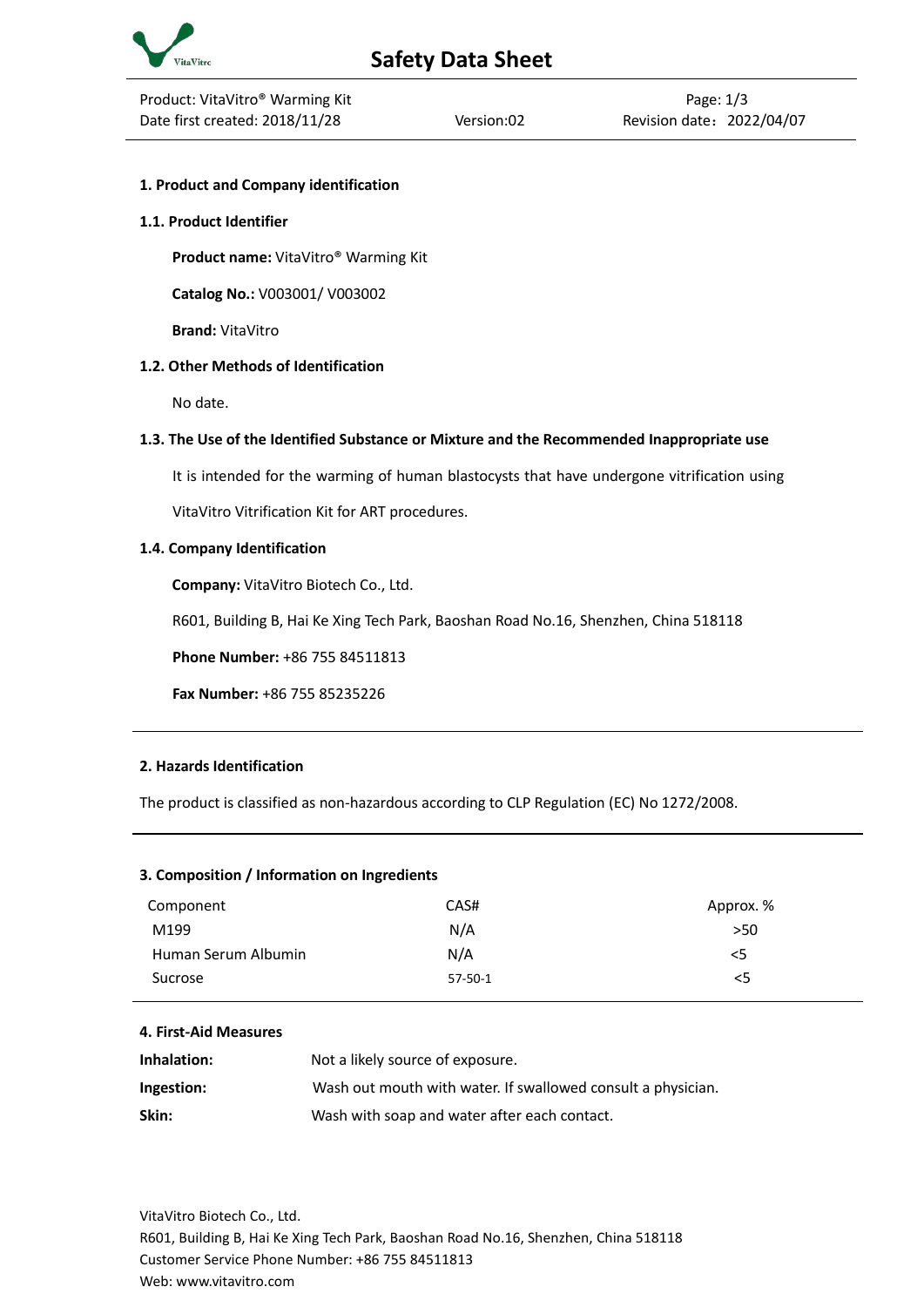

# **1. Product and Company identification**

#### **1.1. Product Identifier**

**Product name:** VitaVitro® Warming Kit

**Catalog No.:** V003001/ V003002

**Brand:** VitaVitro

## **1.2. Other Methods of Identification**

No date.

## **1.3. The Use of the Identified Substance or Mixture and the Recommended Inappropriate use**

It is intended for the warming of human blastocysts that have undergone vitrification using

VitaVitro Vitrification Kit for ART procedures.

## **1.4. Company Identification**

**Company:** VitaVitro Biotech Co., Ltd.

R601, Building B, Hai Ke Xing Tech Park, Baoshan Road No.16, Shenzhen, China 518118

**Phone Number:** +86 755 84511813

**Fax Number:** +86 755 85235226

# **2. Hazards Identification**

The product is classified as non-hazardous according to CLP Regulation (EC) No 1272/2008.

# **3. Composition / Information on Ingredients**

| Component           | CAS#      | Approx. % |
|---------------------|-----------|-----------|
| M199                | N/A       | >50       |
| Human Serum Albumin | N/A       | <5        |
| Sucrose             | $57-50-1$ | 5         |

#### **4. First-Aid Measures**

| Inhalation: | Not a likely source of exposure.                             |
|-------------|--------------------------------------------------------------|
| Ingestion:  | Wash out mouth with water. If swallowed consult a physician. |
| Skin:       | Wash with soap and water after each contact.                 |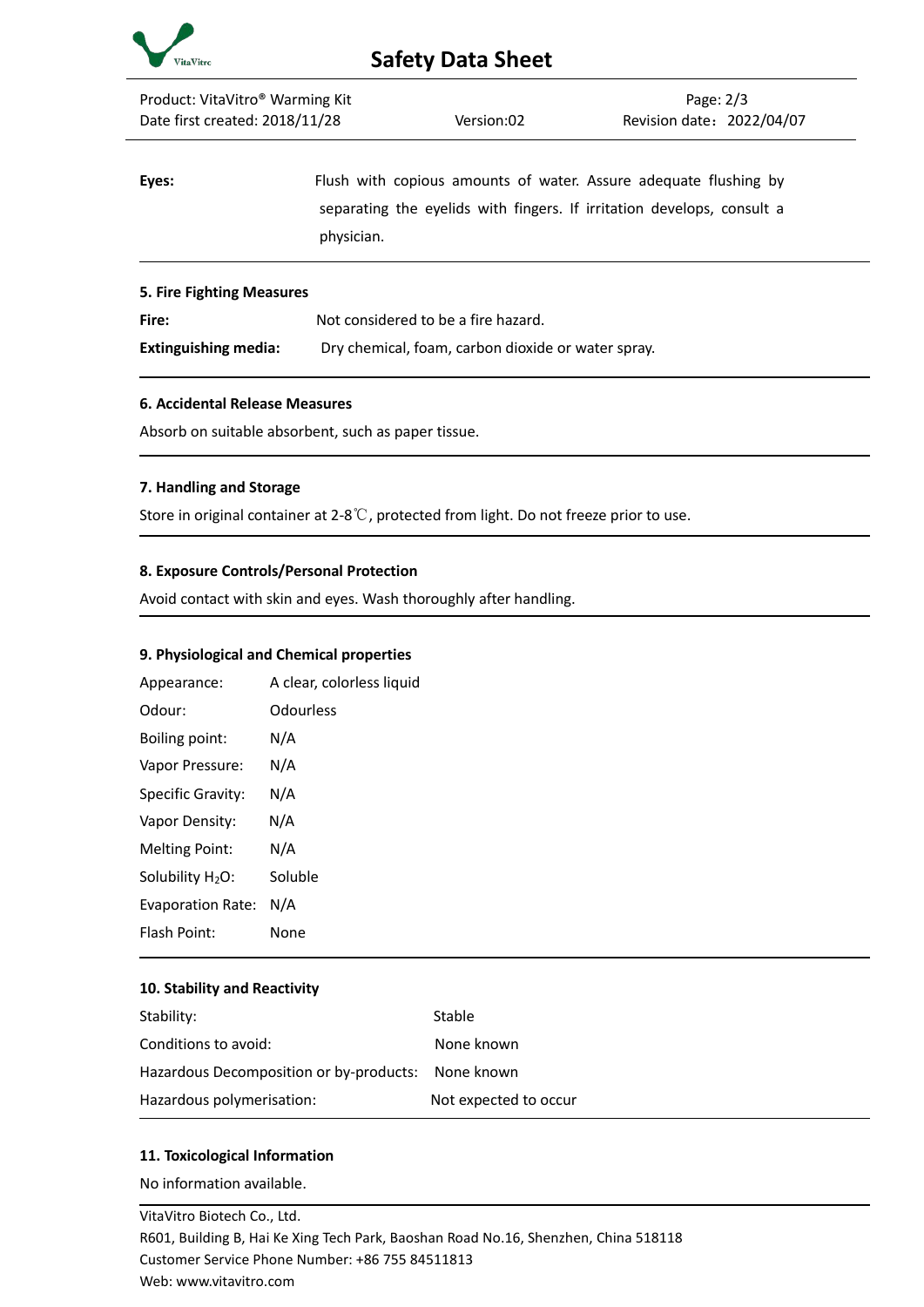

| Product: VitaVitro <sup>®</sup> Warming Kit |            |                                                                                                                                            | Page: $2/3$               |  |  |
|---------------------------------------------|------------|--------------------------------------------------------------------------------------------------------------------------------------------|---------------------------|--|--|
| Date first created: 2018/11/28              |            | Version:02                                                                                                                                 | Revision date: 2022/04/07 |  |  |
| Eyes:                                       | physician. | Flush with copious amounts of water. Assure adequate flushing by<br>separating the eyelids with fingers. If irritation develops, consult a |                           |  |  |
| <b>5. Fire Fighting Measures</b>            |            |                                                                                                                                            |                           |  |  |
| Fire:                                       |            | Not considered to be a fire hazard.                                                                                                        |                           |  |  |
| <b>Extinguishing media:</b>                 |            | Dry chemical, foam, carbon dioxide or water spray.                                                                                         |                           |  |  |

## **6. Accidental Release Measures**

Absorb on suitable absorbent, such as paper tissue.

## **7. Handling and Storage**

Store in original container at 2-8℃, protected from light. Do not freeze prior to use.

## **8. Exposure Controls/Personal Protection**

Avoid contact with skin and eyes. Wash thoroughly after handling.

## **9. Physiological and Chemical properties**

| Appearance:                  | A clear, colorless liquid |
|------------------------------|---------------------------|
| Odour:                       | Odourless                 |
| Boiling point:               | N/A                       |
| Vapor Pressure:              | N/A                       |
| Specific Gravity:            | N/A                       |
| Vapor Density:               | N/A                       |
| <b>Melting Point:</b>        | N/A                       |
| Solubility H <sub>2</sub> O: | Soluble                   |
| Evaporation Rate:            | N/A                       |
| <b>Flash Point:</b>          | None                      |

#### **10. Stability and Reactivity**

| Stability:                                         | <b>Stable</b>         |
|----------------------------------------------------|-----------------------|
| Conditions to avoid:                               | None known            |
| Hazardous Decomposition or by-products: None known |                       |
| Hazardous polymerisation:                          | Not expected to occur |

# **11. Toxicological Information**

No information available.

VitaVitro Biotech Co., Ltd. R601, Building B, Hai Ke Xing Tech Park, Baoshan Road No.16, Shenzhen, China 518118 Customer Service Phone Number: +86 755 84511813 Web: www.vitavitro.com